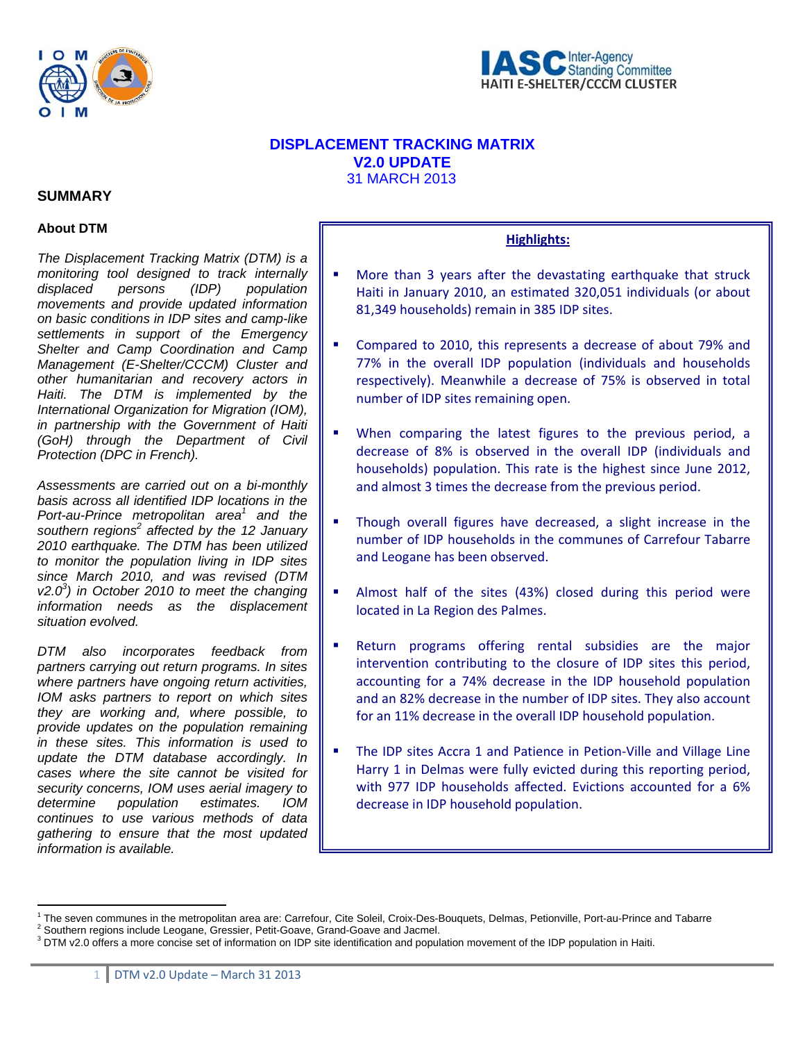



# **DISPLACEMENT TRACKING MATRIX V2.0 UPDATE**  31 MARCH 2013

## **SUMMARY**

## **About DTM**

*The Displacement Tracking Matrix (DTM) is a monitoring tool designed to track internally displaced persons (IDP) population movements and provide updated information on basic conditions in IDP sites and camp-like settlements in support of the Emergency Shelter and Camp Coordination and Camp Management (E-Shelter/CCCM) Cluster and other humanitarian and recovery actors in Haiti. The DTM is implemented by the International Organization for Migration (IOM), in partnership with the Government of Haiti (GoH) through the Department of Civil Protection (DPC in French).* 

*Assessments are carried out on a bi-monthly basis across all identified IDP locations in the*  Port-au-Prince metropolitan area<sup>1</sup> and the southern regions<sup>2</sup> affected by the 12 January *2010 earthquake. The DTM has been utilized to monitor the population living in IDP sites since March 2010, and was revised (DTM v2.03 ) in October 2010 to meet the changing information needs as the displacement situation evolved.*

*DTM also incorporates feedback from partners carrying out return programs. In sites where partners have ongoing return activities, IOM asks partners to report on which sites they are working and, where possible, to provide updates on the population remaining in these sites. This information is used to update the DTM database accordingly. In cases where the site cannot be visited for security concerns, IOM uses aerial imagery to determine population estimates. IOM continues to use various methods of data gathering to ensure that the most updated information is available.* 

 $\overline{a}$ 

# **Highlights:**

- **More than 3 years after the devastating earthquake that struck** Haiti in January 2010, an estimated 320,051 individuals (or about 81,349 households) remain in 385 IDP sites.
- Compared to 2010, this represents a decrease of about 79% and 77% in the overall IDP population (individuals and households respectively). Meanwhile a decrease of 75% is observed in total number of IDP sites remaining open.
- When comparing the latest figures to the previous period, a decrease of 8% is observed in the overall IDP (individuals and households) population. This rate is the highest since June 2012, and almost 3 times the decrease from the previous period.
- Though overall figures have decreased, a slight increase in the number of IDP households in the communes of Carrefour Tabarre and Leogane has been observed.
- Almost half of the sites (43%) closed during this period were located in La Region des Palmes.
- Return programs offering rental subsidies are the major intervention contributing to the closure of IDP sites this period, accounting for a 74% decrease in the IDP household population and an 82% decrease in the number of IDP sites. They also account for an 11% decrease in the overall IDP household population.
- The IDP sites Accra 1 and Patience in Petion‐Ville and Village Line Harry 1 in Delmas were fully evicted during this reporting period, with 977 IDP households affected. Evictions accounted for a 6% decrease in IDP household population.

<sup>&</sup>lt;sup>1</sup> The seven communes in the metropolitan area are: Carrefour, Cite Soleil, Croix-Des-Bouquets, Delmas, Petionville, Port-au-Prince and Tabarre <sup>2</sup><br><sup>2</sup> Seuthers regions include Leggane, Crossier, Petit Ceaus, Croad Ceaus

<sup>&</sup>lt;sup>2</sup> Southern regions include Leogane, Gressier, Petit-Goave, Grand-Goave and Jacmel.

 $3$  DTM v2.0 offers a more concise set of information on IDP site identification and population movement of the IDP population in Haiti.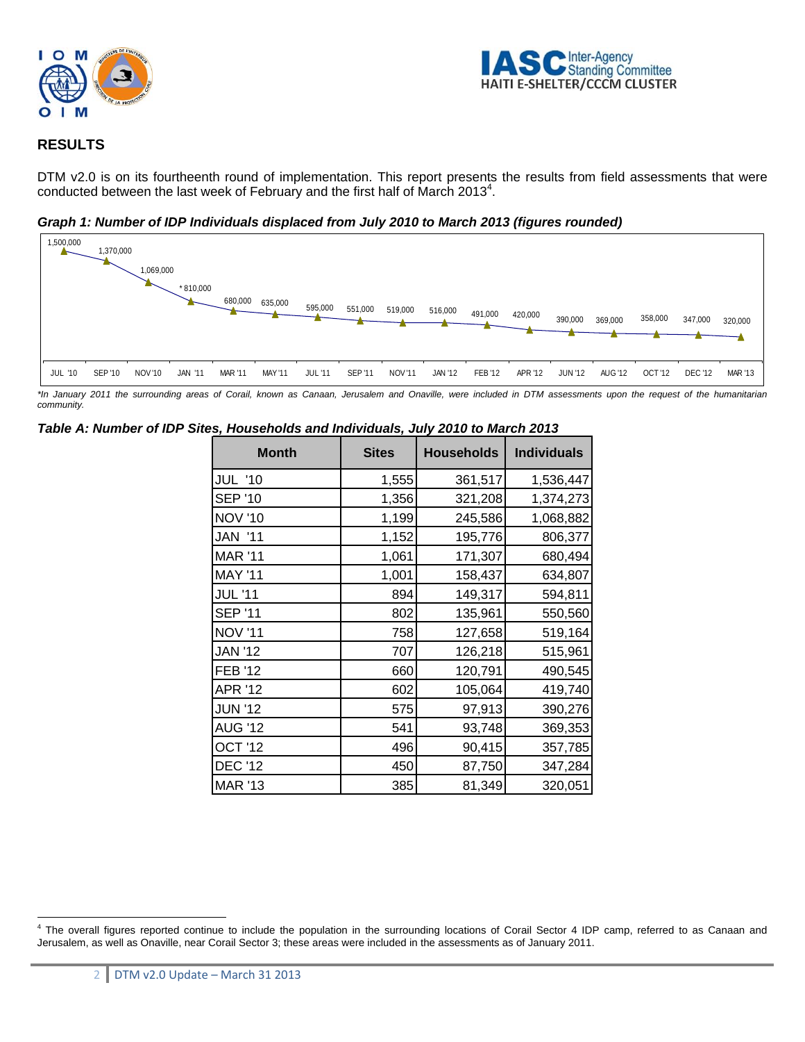



# **RESULTS**

DTM v2.0 is on its fourtheenth round of implementation. This report presents the results from field assessments that were conducted between the last week of February and the first half of March 2013<sup>4</sup>.

*Graph 1: Number of IDP Individuals displaced from July 2010 to March 2013 (figures rounded)* 



*\*In January 2011 the surrounding areas of Corail, known as Canaan, Jerusalem and Onaville, were included in DTM assessments upon the request of the humanitarian community.* 

| <b>Month</b>   | <b>Sites</b> | <b>Households</b> | <b>Individuals</b> |
|----------------|--------------|-------------------|--------------------|
| <b>JUL '10</b> | 1,555        | 361,517           | 1,536,447          |
| <b>SEP '10</b> | 1,356        | 321,208           | 1,374,273          |
| <b>NOV '10</b> | 1,199        | 245,586           | 1,068,882          |
| <b>JAN '11</b> | 1,152        | 195,776           | 806,377            |
| <b>MAR '11</b> | 1,061        | 171,307           | 680,494            |
| <b>MAY '11</b> | 1,001        | 158,437           | 634,807            |
| <b>JUL '11</b> | 894          | 149,317           | 594,811            |
| <b>SEP '11</b> | 802          | 135,961           | 550,560            |
| <b>NOV '11</b> | 758          | 127,658           | 519,164            |
| <b>JAN '12</b> | 707          | 126,218           | 515,961            |
| <b>FEB '12</b> | 660          | 120,791           | 490,545            |
| <b>APR '12</b> | 602          | 105,064           | 419,740            |
| <b>JUN '12</b> | 575          | 97,913            | 390,276            |
| <b>AUG '12</b> | 541          | 93,748            | 369,353            |
| OCT '12        | 496          | 90,415            | 357,785            |
| <b>DEC '12</b> | 450          | 87,750            | 347,284            |
| <b>MAR '13</b> | 385          | 81,349            | 320,051            |

#### *Table A: Number of IDP Sites, Households and Individuals, July 2010 to March 2013*

 $\overline{a}$ <sup>4</sup> The overall figures reported continue to include the population in the surrounding locations of Corail Sector 4 IDP camp, referred to as Canaan and Jerusalem, as well as Onaville, near Corail Sector 3; these areas were included in the assessments as of January 2011.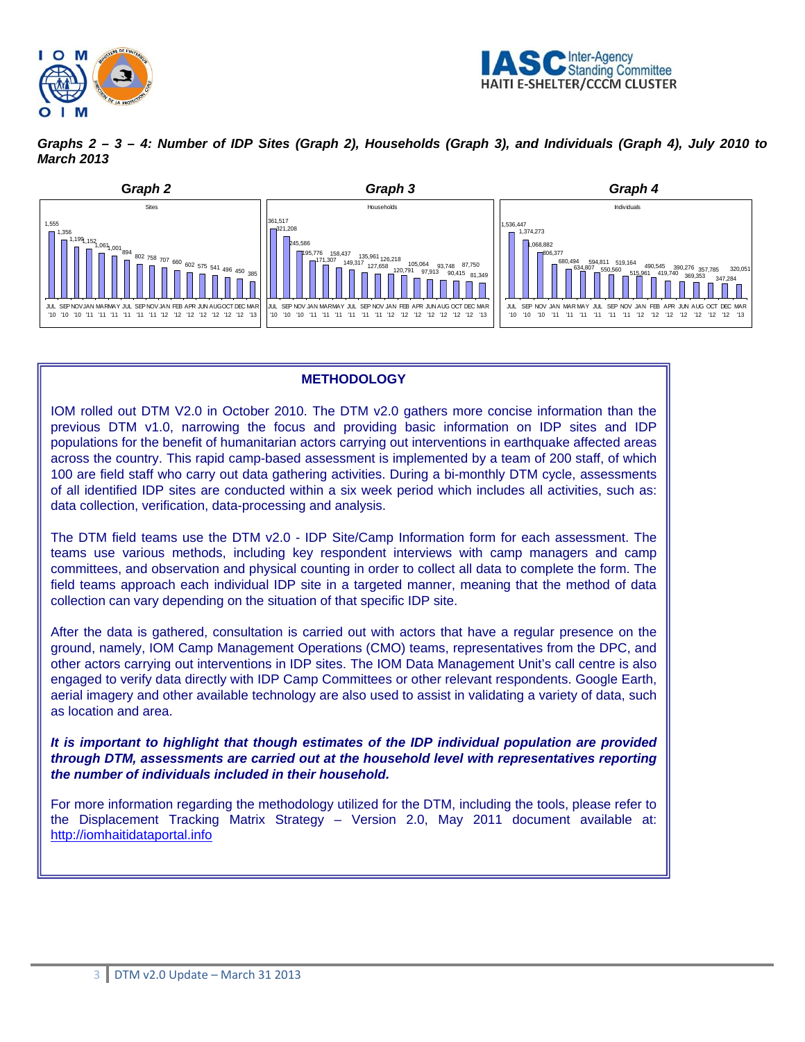



*Graphs 2 – 3 – 4: Number of IDP Sites (Graph 2), Households (Graph 3), and Individuals (Graph 4), July 2010 to March 2013* 



## **METHODOLOGY**

IOM rolled out DTM V2.0 in October 2010. The DTM v2.0 gathers more concise information than the previous DTM v1.0, narrowing the focus and providing basic information on IDP sites and IDP populations for the benefit of humanitarian actors carrying out interventions in earthquake affected areas across the country. This rapid camp-based assessment is implemented by a team of 200 staff, of which 100 are field staff who carry out data gathering activities. During a bi-monthly DTM cycle, assessments of all identified IDP sites are conducted within a six week period which includes all activities, such as: data collection, verification, data-processing and analysis.

The DTM field teams use the DTM v2.0 - IDP Site/Camp Information form for each assessment. The teams use various methods, including key respondent interviews with camp managers and camp committees, and observation and physical counting in order to collect all data to complete the form. The field teams approach each individual IDP site in a targeted manner, meaning that the method of data collection can vary depending on the situation of that specific IDP site.

After the data is gathered, consultation is carried out with actors that have a regular presence on the ground, namely, IOM Camp Management Operations (CMO) teams, representatives from the DPC, and other actors carrying out interventions in IDP sites. The IOM Data Management Unit's call centre is also engaged to verify data directly with IDP Camp Committees or other relevant respondents. Google Earth, aerial imagery and other available technology are also used to assist in validating a variety of data, such as location and area.

*It is important to highlight that though estimates of the IDP individual population are provided through DTM, assessments are carried out at the household level with representatives reporting the number of individuals included in their household.* 

For more information regarding the methodology utilized for the DTM, including the tools, please refer to the Displacement Tracking Matrix Strategy – Version 2.0, May 2011 document available at: http://iomhaitidataportal.info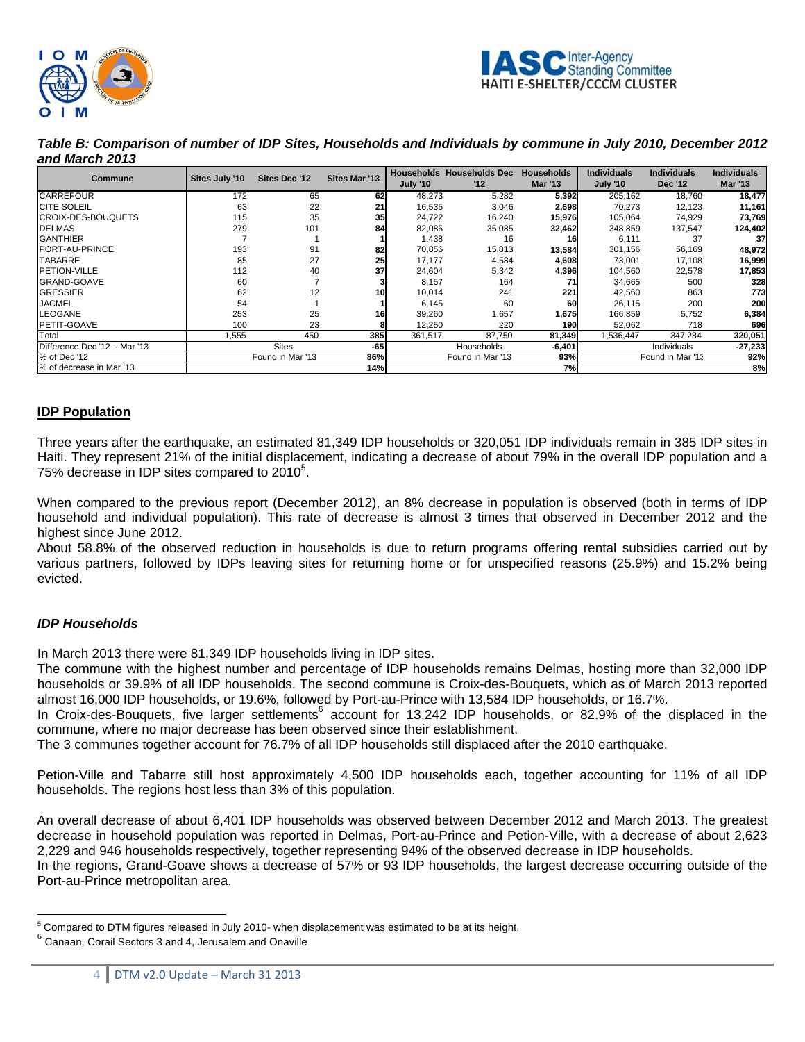



*Table B: Comparison of number of IDP Sites, Households and Individuals by commune in July 2010, December 2012 and March 2013* 

| Commune                      | Sites July '10 | Sites Dec '12    | <b>Sites Mar '13</b> | <b>July '10</b> | <b>Households Households Dec</b><br>12 | <b>Households</b><br><b>Mar '13</b> | <b>Individuals</b><br><b>July '10</b> | <b>Individuals</b><br><b>Dec '12</b> | <b>Individuals</b><br><b>Mar '13</b> |
|------------------------------|----------------|------------------|----------------------|-----------------|----------------------------------------|-------------------------------------|---------------------------------------|--------------------------------------|--------------------------------------|
| <b>CARREFOUR</b>             | 172            | 65               | 62                   | 48,273          | 5,282                                  | 5,392                               | 205,162                               | 18,760                               | 18,477                               |
| <b>CITE SOLEIL</b>           | 63             | 22               | 21                   | 16,535          | 3,046                                  | 2,698                               | 70,273                                | 12,123                               | 11,161                               |
| <b>ICROIX-DES-BOUQUETS</b>   | 115            | 35               | 35                   | 24,722          | 16,240                                 | 15,976                              | 105,064                               | 74,929                               | 73,769                               |
| <b>DELMAS</b>                | 279            | 101              | 84                   | 82,086          | 35,085                                 | 32,462                              | 348,859                               | 137,547                              | 124,402                              |
| <b>GANTHIER</b>              |                |                  |                      | 1.438           | 16                                     | 16                                  | 6,111                                 | 37                                   | 37                                   |
| PORT-AU-PRINCE               | 193            | 91               | 82                   | 70,856          | 15,813                                 | 13,584                              | 301,156                               | 56,169                               | 48,972                               |
| <b>TABARRE</b>               | 85             | 27               | 25                   | 17.177          | 4,584                                  | 4,608                               | 73,001                                | 17,108                               | 16,999                               |
| <b>PETION-VILLE</b>          | 112            | 40               | 37                   | 24,604          | 5,342                                  | 4,396                               | 104,560                               | 22,578                               | 17,853                               |
| <b>GRAND-GOAVE</b>           | 60             |                  |                      | 8.157           | 164                                    |                                     | 34,665                                | 500                                  | 328                                  |
| <b>GRESSIER</b>              | 62             | 12               | 10                   | 10.014          | 241                                    | 221                                 | 42,560                                | 863                                  | 773                                  |
| <b>JACMEL</b>                | 54             |                  |                      | 6.145           | 60                                     | 60                                  | 26,115                                | 200                                  | 200                                  |
| <b>LEOGANE</b>               | 253            | 25               | 161                  | 39,260          | 1,657                                  | 1,675                               | 166,859                               | 5,752                                | 6,384                                |
| PETIT-GOAVE                  | 100            | 23               |                      | 12,250          | 220                                    | 190                                 | 52,062                                | 718                                  | 696                                  |
| Total                        | .555           | 450              | 385                  | 361.517         | 87,750                                 | 81,349                              | .536,447                              | 347,284                              | 320,051                              |
| Difference Dec '12 - Mar '13 |                | <b>Sites</b>     | -65                  |                 | Households                             | $-6,401$                            |                                       | Individuals                          | $-27,233$                            |
| % of Dec '12                 |                | Found in Mar '13 | 86%                  |                 | Found in Mar '13                       | 93%                                 |                                       | Found in Mar '13                     | 92%                                  |
| % of decrease in Mar '13     |                |                  | 14%                  |                 |                                        | 7%                                  |                                       |                                      | 8%                                   |

## **IDP Population**

Three years after the earthquake, an estimated 81,349 IDP households or 320,051 IDP individuals remain in 385 IDP sites in Haiti. They represent 21% of the initial displacement, indicating a decrease of about 79% in the overall IDP population and a 75% decrease in IDP sites compared to  $2010^5$ .

When compared to the previous report (December 2012), an 8% decrease in population is observed (both in terms of IDP household and individual population). This rate of decrease is almost 3 times that observed in December 2012 and the highest since June 2012.

About 58.8% of the observed reduction in households is due to return programs offering rental subsidies carried out by various partners, followed by IDPs leaving sites for returning home or for unspecified reasons (25.9%) and 15.2% being evicted.

## *IDP Households*

In March 2013 there were 81,349 IDP households living in IDP sites.

The commune with the highest number and percentage of IDP households remains Delmas, hosting more than 32,000 IDP households or 39.9% of all IDP households. The second commune is Croix-des-Bouquets, which as of March 2013 reported almost 16,000 IDP households, or 19.6%, followed by Port-au-Prince with 13,584 IDP households, or 16.7%.

In Croix-des-Bouquets, five larger settlements<sup>6</sup> account for 13,242 IDP households, or 82.9% of the displaced in the commune, where no major decrease has been observed since their establishment.

The 3 communes together account for 76.7% of all IDP households still displaced after the 2010 earthquake.

Petion-Ville and Tabarre still host approximately 4,500 IDP households each, together accounting for 11% of all IDP households. The regions host less than 3% of this population.

An overall decrease of about 6,401 IDP households was observed between December 2012 and March 2013. The greatest decrease in household population was reported in Delmas, Port-au-Prince and Petion-Ville, with a decrease of about 2,623 2,229 and 946 households respectively, together representing 94% of the observed decrease in IDP households. In the regions, Grand-Goave shows a decrease of 57% or 93 IDP households, the largest decrease occurring outside of the

Port-au-Prince metropolitan area.

<sup>5&</sup>lt;br><sup>5</sup> Compared to DTM figures released in July 2010- when displacement was estimated to be at its height.<br><sup>6</sup> Canaan, Corail Sectors 3 and 4, Jerusalem and Onaville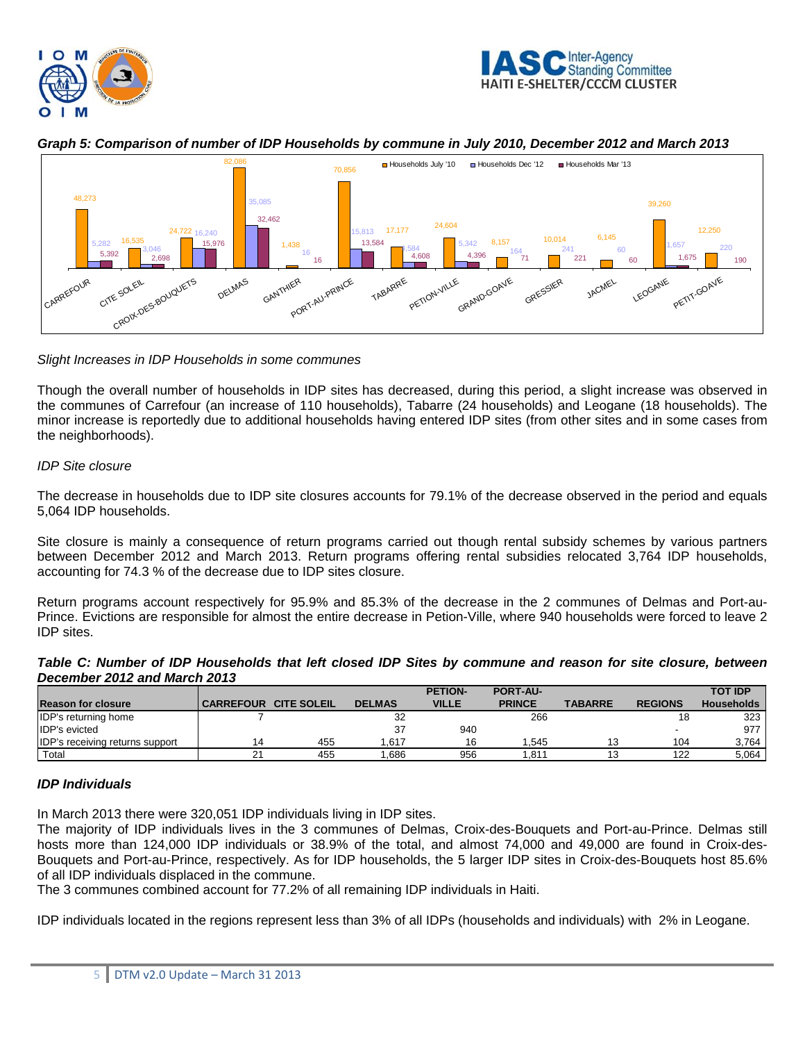



*Graph 5: Comparison of number of IDP Households by commune in July 2010, December 2012 and March 2013* 



## *Slight Increases in IDP Households in some communes*

Though the overall number of households in IDP sites has decreased, during this period, a slight increase was observed in the communes of Carrefour (an increase of 110 households), Tabarre (24 households) and Leogane (18 households). The minor increase is reportedly due to additional households having entered IDP sites (from other sites and in some cases from the neighborhoods).

## *IDP Site closure*

The decrease in households due to IDP site closures accounts for 79.1% of the decrease observed in the period and equals 5,064 IDP households.

Site closure is mainly a consequence of return programs carried out though rental subsidy schemes by various partners between December 2012 and March 2013. Return programs offering rental subsidies relocated 3,764 IDP households, accounting for 74.3 % of the decrease due to IDP sites closure.

Return programs account respectively for 95.9% and 85.3% of the decrease in the 2 communes of Delmas and Port-au-Prince. Evictions are responsible for almost the entire decrease in Petion-Ville, where 940 households were forced to leave 2 IDP sites.

| Table C: Number of IDP Households that left closed IDP Sites by commune and reason for site closure, between |  |  |  |  |
|--------------------------------------------------------------------------------------------------------------|--|--|--|--|
| December 2012 and March 2013                                                                                 |  |  |  |  |

|                                        |                  |                    |               | <b>PETION-</b> | <b>PORT-AU-</b>  |                |                | <b>TOT IDP</b>    |
|----------------------------------------|------------------|--------------------|---------------|----------------|------------------|----------------|----------------|-------------------|
| <b>Reason for closure</b>              | <b>CARREFOUR</b> | <b>CITE SOLEIL</b> | <b>DELMAS</b> | <b>VILLE</b>   | <b>PRINCE</b>    | <b>TABARRE</b> | <b>REGIONS</b> | <b>Households</b> |
| <b>IDP's returning home</b>            |                  |                    | 32            |                | 266              |                |                | 323               |
| <b>IDP's evicted</b>                   |                  |                    |               | 940            |                  |                |                | 977               |
| <b>IDP's receiving returns support</b> |                  | 455                | .617          | 16             | .545             |                | 104            | 3,764             |
| <sup>'</sup> Total                     | 21               | 455                | .686          | 956            | .81 <sup>.</sup> |                | 122            | 5,064             |

## *IDP Individuals*

In March 2013 there were 320,051 IDP individuals living in IDP sites.

The majority of IDP individuals lives in the 3 communes of Delmas, Croix-des-Bouquets and Port-au-Prince. Delmas still hosts more than 124,000 IDP individuals or 38.9% of the total, and almost 74,000 and 49,000 are found in Croix-des-Bouquets and Port-au-Prince, respectively. As for IDP households, the 5 larger IDP sites in Croix-des-Bouquets host 85.6% of all IDP individuals displaced in the commune.

The 3 communes combined account for 77.2% of all remaining IDP individuals in Haiti.

IDP individuals located in the regions represent less than 3% of all IDPs (households and individuals) with 2% in Leogane.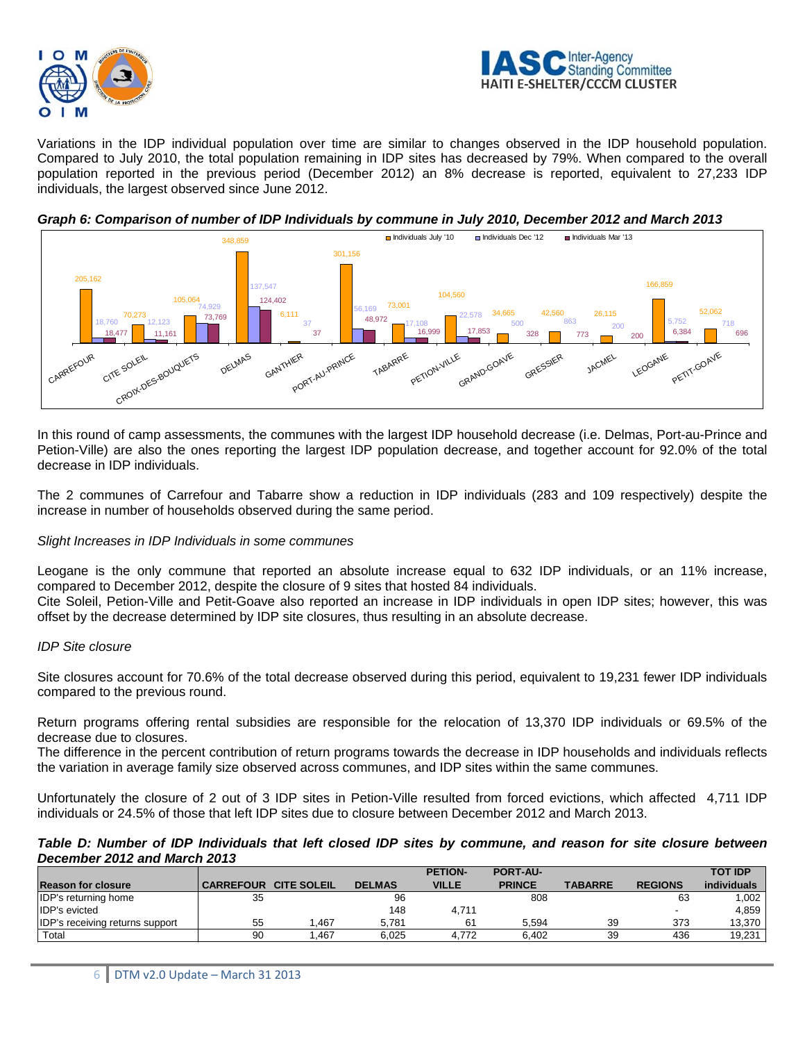



Variations in the IDP individual population over time are similar to changes observed in the IDP household population. Compared to July 2010, the total population remaining in IDP sites has decreased by 79%. When compared to the overall population reported in the previous period (December 2012) an 8% decrease is reported, equivalent to 27,233 IDP individuals, the largest observed since June 2012.





In this round of camp assessments, the communes with the largest IDP household decrease (i.e. Delmas, Port-au-Prince and Petion-Ville) are also the ones reporting the largest IDP population decrease, and together account for 92.0% of the total decrease in IDP individuals.

The 2 communes of Carrefour and Tabarre show a reduction in IDP individuals (283 and 109 respectively) despite the increase in number of households observed during the same period.

#### *Slight Increases in IDP Individuals in some communes*

Leogane is the only commune that reported an absolute increase equal to 632 IDP individuals, or an 11% increase, compared to December 2012, despite the closure of 9 sites that hosted 84 individuals.

Cite Soleil, Petion-Ville and Petit-Goave also reported an increase in IDP individuals in open IDP sites; however, this was offset by the decrease determined by IDP site closures, thus resulting in an absolute decrease.

#### *IDP Site closure*

Site closures account for 70.6% of the total decrease observed during this period, equivalent to 19,231 fewer IDP individuals compared to the previous round.

Return programs offering rental subsidies are responsible for the relocation of 13,370 IDP individuals or 69.5% of the decrease due to closures.

The difference in the percent contribution of return programs towards the decrease in IDP households and individuals reflects the variation in average family size observed across communes, and IDP sites within the same communes.

Unfortunately the closure of 2 out of 3 IDP sites in Petion-Ville resulted from forced evictions, which affected 4,711 IDP individuals or 24.5% of those that left IDP sites due to closure between December 2012 and March 2013.

#### *Table D: Number of IDP Individuals that left closed IDP sites by commune, and reason for site closure between December 2012 and March 2013*

| <b>December 2012 and march 2013</b>    |                  |                    |               |                |                 |                |                |                |  |
|----------------------------------------|------------------|--------------------|---------------|----------------|-----------------|----------------|----------------|----------------|--|
|                                        |                  |                    |               | <b>PETION-</b> | <b>PORT-AU-</b> |                |                | <b>TOT IDP</b> |  |
| <b>IReason for closure</b>             | <b>CARREFOUR</b> | <b>CITE SOLEIL</b> | <b>DELMAS</b> | <b>VILLE</b>   | <b>PRINCE</b>   | <b>TABARRE</b> | <b>REGIONS</b> | individuals    |  |
| <b>IDP's returning home</b>            | 35               |                    | 96            |                | 808             |                | 63             | 1,002          |  |
| <b>IDP's evicted</b>                   |                  |                    | 148           | 4,711          |                 |                |                | 4,859          |  |
| <b>IDP's receiving returns support</b> | 55               | .467               | 5.781         | 61             | 5.594           | 39             | 373            | 13,370         |  |
| Total                                  | 90               | .467               | 6.025         | 4.772          | 6.402           | 39             | 436            | 19,231         |  |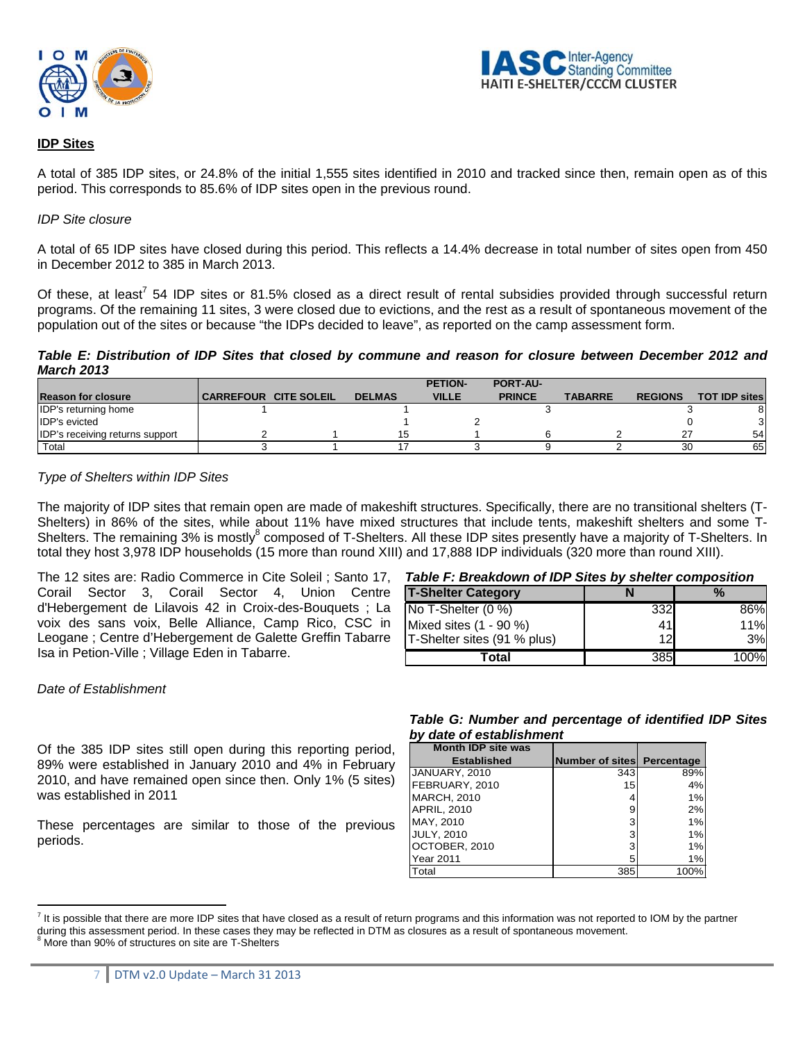



## **IDP Sites**

A total of 385 IDP sites, or 24.8% of the initial 1,555 sites identified in 2010 and tracked since then, remain open as of this period. This corresponds to 85.6% of IDP sites open in the previous round.

#### *IDP Site closure*

A total of 65 IDP sites have closed during this period. This reflects a 14.4% decrease in total number of sites open from 450 in December 2012 to 385 in March 2013.

Of these, at least<sup>7</sup> 54 IDP sites or 81.5% closed as a direct result of rental subsidies provided through successful return programs. Of the remaining 11 sites, 3 were closed due to evictions, and the rest as a result of spontaneous movement of the population out of the sites or because "the IDPs decided to leave", as reported on the camp assessment form.

*Table E: Distribution of IDP Sites that closed by commune and reason for closure between December 2012 and March 2013* 

|                                        |                       |               | <b>PETION-</b> | <b>PORT-AU-</b> |                |                |                       |
|----------------------------------------|-----------------------|---------------|----------------|-----------------|----------------|----------------|-----------------------|
| <b>Reason for closure</b>              | CARREFOUR CITE SOLEIL | <b>DELMAS</b> | <b>VILLE</b>   | <b>PRINCE</b>   | <b>TABARRE</b> | <b>REGIONS</b> | <b>TOT IDP sites!</b> |
| <b>IDP's returning home</b>            |                       |               |                |                 |                |                |                       |
| <b>IDP's evicted</b>                   |                       |               |                |                 |                |                |                       |
| <b>IDP's receiving returns support</b> |                       |               |                |                 |                |                | 54                    |
| Total                                  |                       |               |                |                 |                | 30             | 65                    |

#### *Type of Shelters within IDP Sites*

The majority of IDP sites that remain open are made of makeshift structures. Specifically, there are no transitional shelters (T-Shelters) in 86% of the sites, while about 11% have mixed structures that include tents, makeshift shelters and some T-Shelters. The remaining 3% is mostly<sup>8</sup> composed of T-Shelters. All these IDP sites presently have a majority of T-Shelters. In total they host 3,978 IDP households (15 more than round XIII) and 17,888 IDP individuals (320 more than round XIII).

The 12 sites are: Radio Commerce in Cite Soleil ; Santo 17, *Table F: Breakdown of IDP Sites by shelter composition*  Corail Sector 3, Corail Sector 4, Union Centre d'Hebergement de Lilavois 42 in Croix-des-Bouquets ; La voix des sans voix, Belle Alliance, Camp Rico, CSC in Leogane ; Centre d'Hebergement de Galette Greffin Tabarre Isa in Petion-Ville ; Village Eden in Tabarre.

| <b>T-Shelter Category</b>   |     | $\%$ |
|-----------------------------|-----|------|
| No T-Shelter (0 %)          | 332 | 86%  |
| Mixed sites (1 - 90 %)      | 41  | 11%  |
| T-Shelter sites (91 % plus) | 12  | 3%   |
| Total                       | 385 | 100% |

#### *Date of Establishment*

Of the 385 IDP sites still open during this reporting period, 89% were established in January 2010 and 4% in February 2010, and have remained open since then. Only 1% (5 sites) was established in 2011

These percentages are similar to those of the previous periods.

## *Table G: Number and percentage of identified IDP Sites by date of establishment*

| <b>Month IDP site was</b> |                                   |      |
|---------------------------|-----------------------------------|------|
| <b>Established</b>        | <b>Number of sites</b> Percentage |      |
| JANUARY, 2010             | 343                               | 89%  |
| FEBRUARY, 2010            | 15 <sub>l</sub>                   | 4%   |
| <b>MARCH, 2010</b>        |                                   | 1%   |
| <b>APRIL, 2010</b>        | 9                                 | 2%   |
| MAY, 2010                 | 3                                 | 1%   |
| <b>JULY, 2010</b>         | 3                                 | 1%   |
| OCTOBER, 2010             | 3                                 | 1%   |
| <b>Year 2011</b>          | 5                                 | 1%   |
| Total                     | 385                               | 100% |

 $\overline{a}$  $^7$  It is possible that there are more IDP sites that have closed as a result of return programs and this information was not reported to IOM by the partner during this assessment period. In these cases they may be reflected in DTM as closures as a result of spontaneous movement.

More than 90% of structures on site are T-Shelters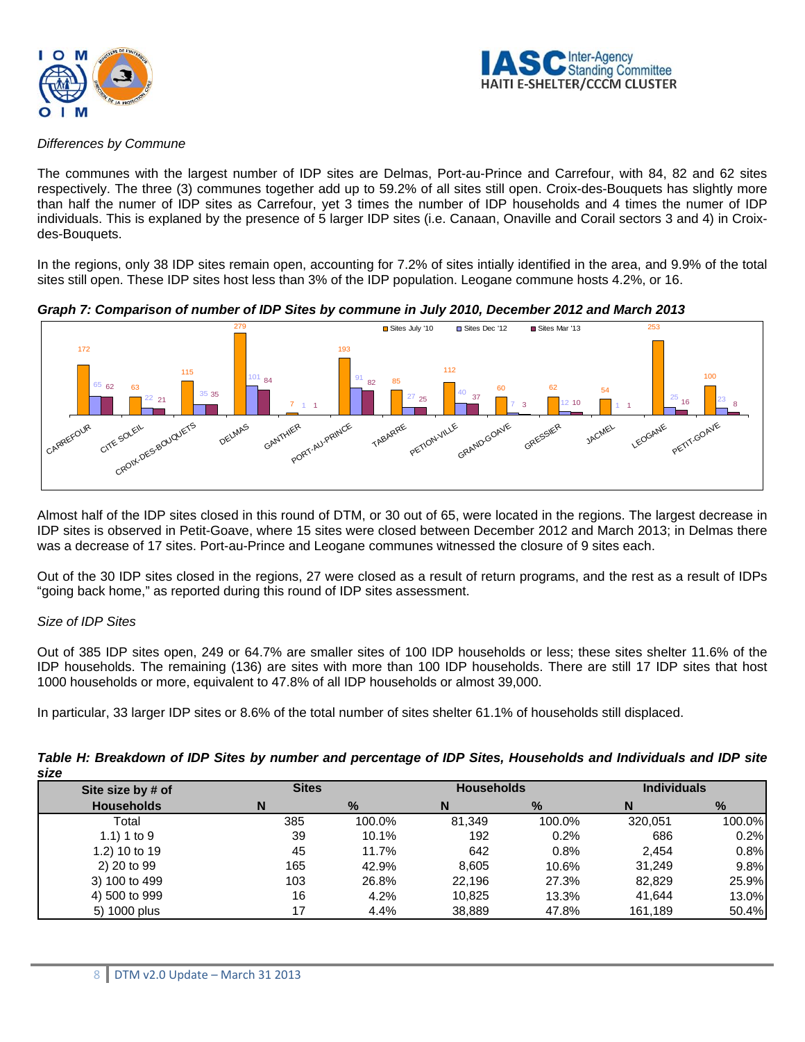



#### *Differences by Commune*

The communes with the largest number of IDP sites are Delmas, Port-au-Prince and Carrefour, with 84, 82 and 62 sites respectively. The three (3) communes together add up to 59.2% of all sites still open. Croix-des-Bouquets has slightly more than half the numer of IDP sites as Carrefour, yet 3 times the number of IDP households and 4 times the numer of IDP individuals. This is explaned by the presence of 5 larger IDP sites (i.e. Canaan, Onaville and Corail sectors 3 and 4) in Croixdes-Bouquets.

In the regions, only 38 IDP sites remain open, accounting for 7.2% of sites intially identified in the area, and 9.9% of the total sites still open. These IDP sites host less than 3% of the IDP population. Leogane commune hosts 4.2%, or 16.



## *Graph 7: Comparison of number of IDP Sites by commune in July 2010, December 2012 and March 2013*

Almost half of the IDP sites closed in this round of DTM, or 30 out of 65, were located in the regions. The largest decrease in IDP sites is observed in Petit-Goave, where 15 sites were closed between December 2012 and March 2013; in Delmas there was a decrease of 17 sites. Port-au-Prince and Leogane communes witnessed the closure of 9 sites each.

Out of the 30 IDP sites closed in the regions, 27 were closed as a result of return programs, and the rest as a result of IDPs "going back home," as reported during this round of IDP sites assessment.

## *Size of IDP Sites*

Out of 385 IDP sites open, 249 or 64.7% are smaller sites of 100 IDP households or less; these sites shelter 11.6% of the IDP households. The remaining (136) are sites with more than 100 IDP households. There are still 17 IDP sites that host 1000 households or more, equivalent to 47.8% of all IDP households or almost 39,000.

In particular, 33 larger IDP sites or 8.6% of the total number of sites shelter 61.1% of households still displaced.

| size              |              |        |                   |        |                    |        |
|-------------------|--------------|--------|-------------------|--------|--------------------|--------|
| Site size by # of | <b>Sites</b> |        | <b>Households</b> |        | <b>Individuals</b> |        |
| <b>Households</b> | N            | %      | N                 | $\%$   | N                  | %      |
| Total             | 385          | 100.0% | 81.349            | 100.0% | 320.051            | 100.0% |
| 1.1) 1 to 9       | 39           | 10.1%  | 192               | 0.2%   | 686                | 0.2%   |
| 1.2) 10 to 19     | 45           | 11.7%  | 642               | 0.8%   | 2.454              | 0.8%   |
| 2) 20 to 99       | 165          | 42.9%  | 8.605             | 10.6%  | 31.249             | 9.8%   |
| 3) 100 to 499     | 103          | 26.8%  | 22.196            | 27.3%  | 82.829             | 25.9%  |
| 4) 500 to 999     | 16           | 4.2%   | 10.825            | 13.3%  | 41.644             | 13.0%  |
| 5) 1000 plus      | 17           | 4.4%   | 38.889            | 47.8%  | 161,189            | 50.4%  |

## *Table H: Breakdown of IDP Sites by number and percentage of IDP Sites, Households and Individuals and IDP site size*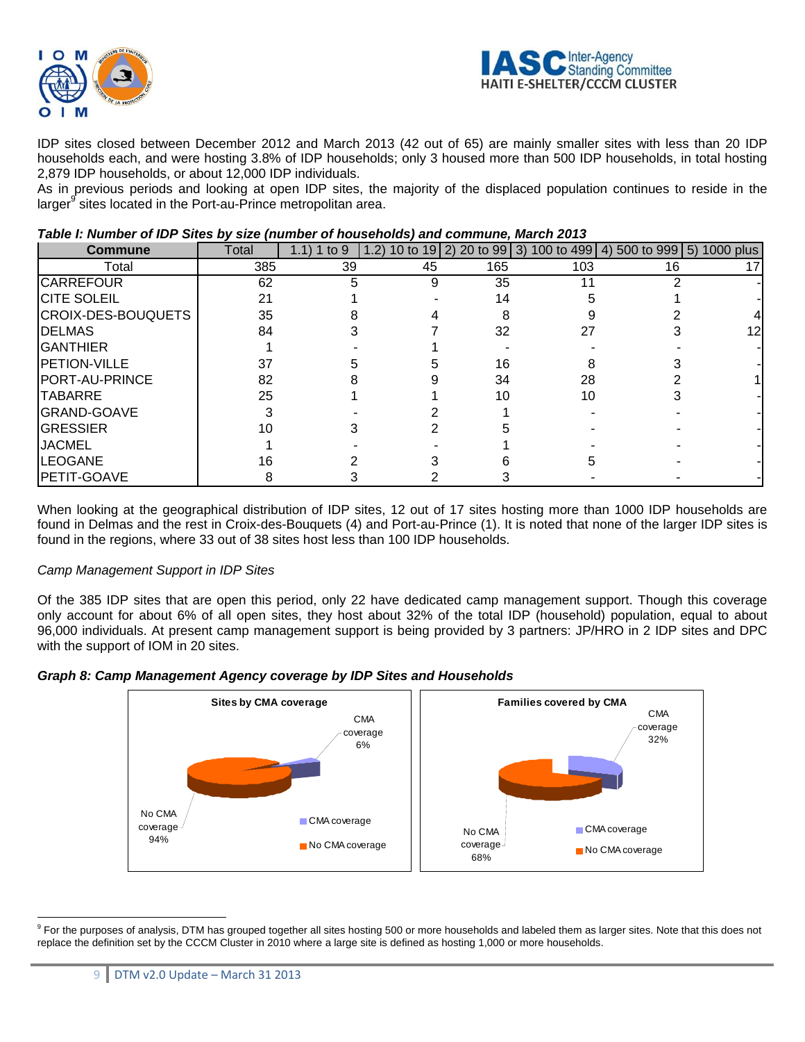



IDP sites closed between December 2012 and March 2013 (42 out of 65) are mainly smaller sites with less than 20 IDP households each, and were hosting 3.8% of IDP households; only 3 housed more than 500 IDP households, in total hosting 2,879 IDP households, or about 12,000 IDP individuals.

As in previous periods and looking at open IDP sites, the majority of the displaced population continues to reside in the larger<sup>9</sup> sites located in the Port-au-Prince metropolitan area.

| <b>Commune</b>        | Total | 1 to $9$<br>1.1) | 1.2) |     |     | 10 to 19 2) 20 to 99 3) 100 to 499 4) 500 to 999 5) 1000 plus |     |
|-----------------------|-------|------------------|------|-----|-----|---------------------------------------------------------------|-----|
| Total                 | 385   | 39               | 45   | 165 | 103 | 16                                                            |     |
| <b>CARREFOUR</b>      | 62    | 5                | 9    | 35  | 11  |                                                               |     |
| <b>CITE SOLEIL</b>    | 21    |                  |      | 14  |     |                                                               |     |
| CROIX-DES-BOUQUETS    | 35    |                  |      | 8   |     |                                                               |     |
| <b>DELMAS</b>         | 84    |                  |      | 32  | 27  |                                                               | 12I |
| <b>GANTHIER</b>       |       |                  |      |     |     |                                                               |     |
| <b>PETION-VILLE</b>   | 37    |                  |      | 16  |     |                                                               |     |
| <b>PORT-AU-PRINCE</b> | 82    |                  |      | 34  | 28  |                                                               |     |
| <b>TABARRE</b>        | 25    |                  |      | 10  | 10  |                                                               |     |
| <b>GRAND-GOAVE</b>    |       |                  |      |     |     |                                                               |     |
| <b>GRESSIER</b>       |       |                  |      |     |     |                                                               |     |
| <b>JACMEL</b>         |       |                  |      |     |     |                                                               |     |
| <b>LEOGANE</b>        | 16    |                  |      |     |     |                                                               |     |
| PETIT-GOAVE           |       |                  |      |     |     |                                                               |     |

## *Table I: Number of IDP Sites by size (number of households) and commune, March 2013*

When looking at the geographical distribution of IDP sites, 12 out of 17 sites hosting more than 1000 IDP households are found in Delmas and the rest in Croix-des-Bouquets (4) and Port-au-Prince (1). It is noted that none of the larger IDP sites is found in the regions, where 33 out of 38 sites host less than 100 IDP households.

## *Camp Management Support in IDP Sites*

Of the 385 IDP sites that are open this period, only 22 have dedicated camp management support. Though this coverage only account for about 6% of all open sites, they host about 32% of the total IDP (household) population, equal to about 96,000 individuals. At present camp management support is being provided by 3 partners: JP/HRO in 2 IDP sites and DPC with the support of IOM in 20 sites.





<sup>&</sup>lt;sup>9</sup> For the purposes of analysis, DTM has grouped together all sites hosting 500 or more households and labeled them as larger sites. Note that this does not replace the definition set by the CCCM Cluster in 2010 where a large site is defined as hosting 1,000 or more households.

 $\overline{a}$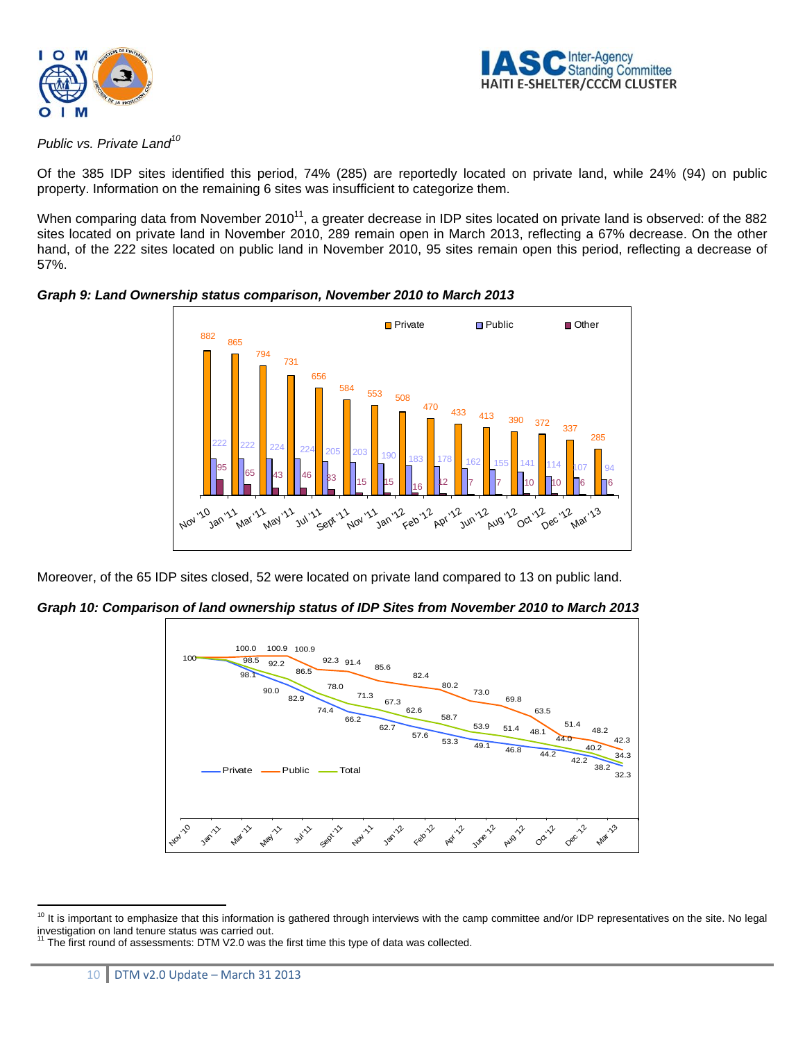



*Public vs. Private Land10*

Of the 385 IDP sites identified this period, 74% (285) are reportedly located on private land, while 24% (94) on public property. Information on the remaining 6 sites was insufficient to categorize them.

When comparing data from November 2010<sup>11</sup>, a greater decrease in IDP sites located on private land is observed: of the 882 sites located on private land in November 2010, 289 remain open in March 2013, reflecting a 67% decrease. On the other hand, of the 222 sites located on public land in November 2010, 95 sites remain open this period, reflecting a decrease of 57%.



*Graph 9: Land Ownership status comparison, November 2010 to March 2013* 

Moreover, of the 65 IDP sites closed, 52 were located on private land compared to 13 on public land.

*Graph 10: Comparison of land ownership status of IDP Sites from November 2010 to March 2013* 



 $\overline{a}$  $10$  It is important to emphasize that this information is gathered through interviews with the camp committee and/or IDP representatives on the site. No legal investigation on land tenure status was carried out. 11 The first round of assessments: DTM V2.0 was the first time this type of data was collected.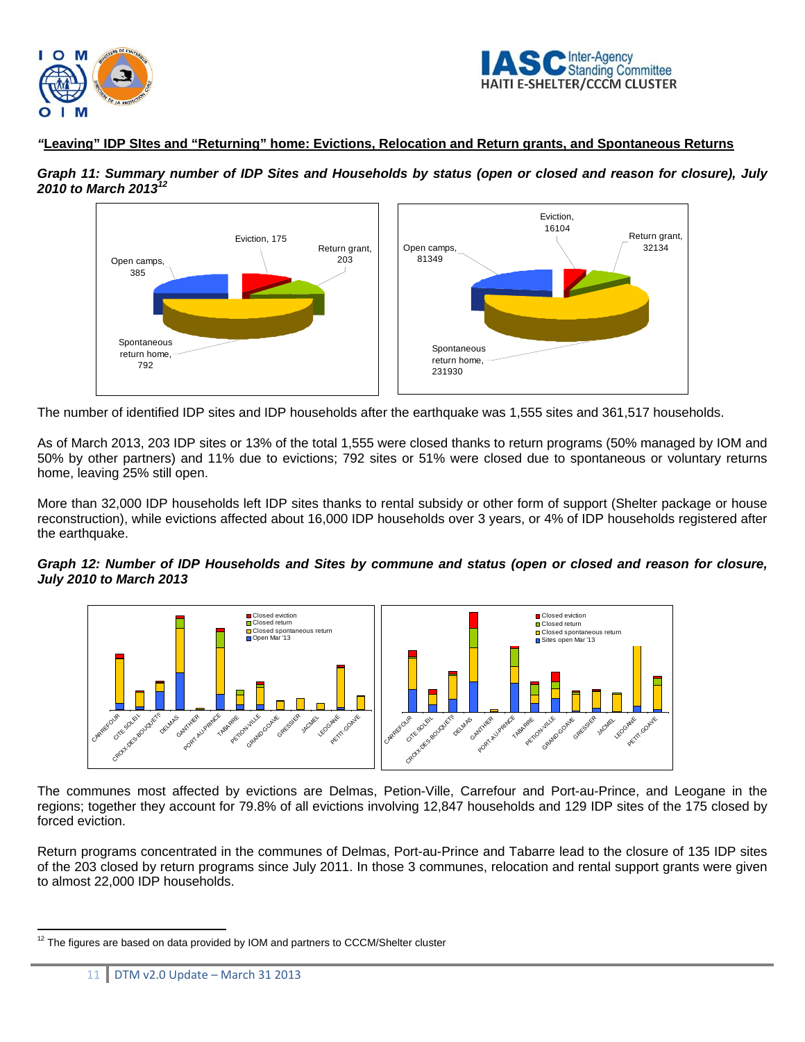



## *"***Leaving" IDP SItes and "Returning" home: Evictions, Relocation and Return grants, and Spontaneous Returns**

*Graph 11: Summary number of IDP Sites and Households by status (open or closed and reason for closure), July 2010 to March 201312*



The number of identified IDP sites and IDP households after the earthquake was 1,555 sites and 361,517 households.

As of March 2013, 203 IDP sites or 13% of the total 1,555 were closed thanks to return programs (50% managed by IOM and 50% by other partners) and 11% due to evictions; 792 sites or 51% were closed due to spontaneous or voluntary returns home, leaving 25% still open.

More than 32,000 IDP households left IDP sites thanks to rental subsidy or other form of support (Shelter package or house reconstruction), while evictions affected about 16,000 IDP households over 3 years, or 4% of IDP households registered after the earthquake.

## *Graph 12: Number of IDP Households and Sites by commune and status (open or closed and reason for closure, July 2010 to March 2013*



The communes most affected by evictions are Delmas, Petion-Ville, Carrefour and Port-au-Prince, and Leogane in the regions; together they account for 79.8% of all evictions involving 12,847 households and 129 IDP sites of the 175 closed by forced eviction.

Return programs concentrated in the communes of Delmas, Port-au-Prince and Tabarre lead to the closure of 135 IDP sites of the 203 closed by return programs since July 2011. In those 3 communes, relocation and rental support grants were given to almost 22,000 IDP households.

 $\overline{a}$  $12$  The figures are based on data provided by IOM and partners to CCCM/Shelter cluster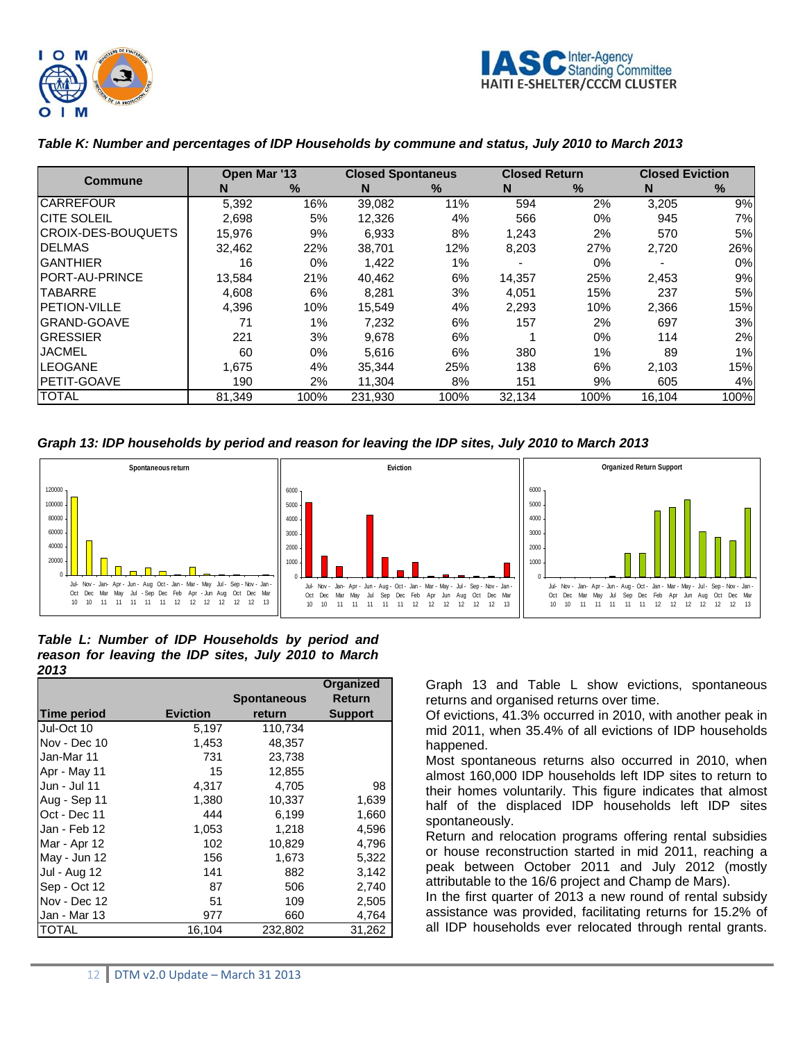

#### Inter-Agency Standing Committee **HAITI E-SHELTER/CCCM CLUSTER**

| <b>Commune</b>            |        | Open Mar '13 |         | <b>Closed Spontaneus</b> |        | <b>Closed Return</b> |        | <b>Closed Eviction</b> |  |
|---------------------------|--------|--------------|---------|--------------------------|--------|----------------------|--------|------------------------|--|
|                           | N      | %            | N       | $\%$                     | N.     | %                    | N      | ℅                      |  |
| <b>CARREFOUR</b>          | 5,392  | 16%          | 39,082  | 11%                      | 594    | 2%                   | 3,205  | 9%                     |  |
| <b>CITE SOLEIL</b>        | 2,698  | 5%           | 12,326  | 4%                       | 566    | $0\%$                | 945    | 7%                     |  |
| <b>CROIX-DES-BOUQUETS</b> | 15.976 | 9%           | 6.933   | 8%                       | 1.243  | 2%                   | 570    | 5%                     |  |
| <b>IDELMAS</b>            | 32.462 | 22%          | 38.701  | 12%                      | 8,203  | 27%                  | 2,720  | 26%                    |  |
| <b>GANTHIER</b>           | 16     | $0\%$        | 1,422   | 1%                       |        | 0%                   |        | $0\%$                  |  |
| <b>IPORT-AU-PRINCE</b>    | 13,584 | 21%          | 40,462  | 6%                       | 14,357 | 25%                  | 2,453  | 9%                     |  |
| <b>ITABARRE</b>           | 4,608  | 6%           | 8,281   | 3%                       | 4,051  | 15%                  | 237    | 5%                     |  |
| <b>IPETION-VILLE</b>      | 4,396  | 10%          | 15.549  | 4%                       | 2.293  | 10%                  | 2,366  | 15%                    |  |
| <b>IGRAND-GOAVE</b>       | 71     | $1\%$        | 7.232   | 6%                       | 157    | 2%                   | 697    | 3%                     |  |
| <b>IGRESSIER</b>          | 221    | 3%           | 9,678   | 6%                       |        | $0\%$                | 114    | 2%                     |  |
| <b>JACMEL</b>             | 60     | 0%           | 5.616   | 6%                       | 380    | $1\%$                | 89     | 1%                     |  |
| <b>LEOGANE</b>            | 1,675  | 4%           | 35.344  | 25%                      | 138    | 6%                   | 2,103  | 15%                    |  |
| <b>IPETIT-GOAVE</b>       | 190    | 2%           | 11.304  | 8%                       | 151    | 9%                   | 605    | 4%                     |  |
| <b>TOTAL</b>              | 81.349 | 100%         | 231.930 | 100%                     | 32.134 | 100%                 | 16,104 | 100%                   |  |

## *Table K: Number and percentages of IDP Households by commune and status, July 2010 to March 2013*

*Graph 13: IDP households by period and reason for leaving the IDP sites, July 2010 to March 2013* 



#### *Table L: Number of IDP Households by period and reason for leaving the IDP sites, July 2010 to March 2013*

|                     |                 |                    | Organized      |
|---------------------|-----------------|--------------------|----------------|
|                     |                 | <b>Spontaneous</b> | <b>Return</b>  |
| <b>Time period</b>  | <b>Eviction</b> | return             | <b>Support</b> |
| Jul-Oct 10          | 5,197           | 110,734            |                |
| Nov - Dec 10        | 1,453           | 48,357             |                |
| Jan-Mar 11          | 731             | 23,738             |                |
| Apr - May 11        | 15              | 12,855             |                |
| Jun - Jul 11        | 4,317           | 4,705              | 98             |
| Aug - Sep 11        | 1,380           | 10,337             | 1,639          |
| Oct - Dec 11        | 444             | 6,199              | 1,660          |
| Jan - Feb 12        | 1,053           | 1,218              | 4,596          |
| Mar - Apr 12        | 102             | 10,829             | 4,796          |
| May - Jun 12        | 156             | 1,673              | 5,322          |
| <b>Jul - Aug 12</b> | 141             | 882                | 3,142          |
| Sep - Oct 12        | 87              | 506                | 2,740          |
| Nov - Dec 12        | 51              | 109                | 2,505          |
| Jan - Mar 13        | 977             | 660                | 4,764          |
| <b>TOTAL</b>        | 16.104          | 232,802            | 31,262         |

Graph 13 and Table L show evictions, spontaneous returns and organised returns over time.

Of evictions, 41.3% occurred in 2010, with another peak in mid 2011, when 35.4% of all evictions of IDP households happened.

Most spontaneous returns also occurred in 2010, when almost 160,000 IDP households left IDP sites to return to their homes voluntarily. This figure indicates that almost half of the displaced IDP households left IDP sites spontaneously.

Return and relocation programs offering rental subsidies or house reconstruction started in mid 2011, reaching a peak between October 2011 and July 2012 (mostly attributable to the 16/6 project and Champ de Mars).

In the first quarter of 2013 a new round of rental subsidy assistance was provided, facilitating returns for 15.2% of all IDP households ever relocated through rental grants.